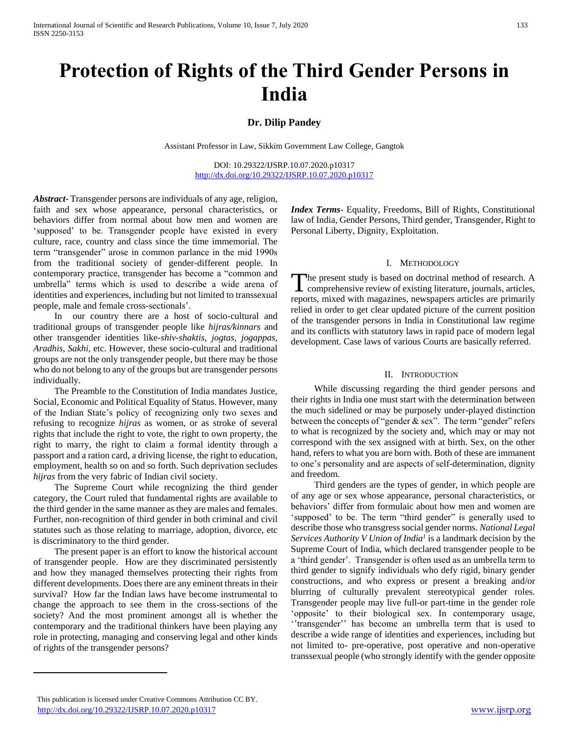# **Protection of Rights of the Third Gender Persons in India**

## **Dr. Dilip Pandey**

Assistant Professor in Law, Sikkim Government Law College, Gangtok

DOI: 10.29322/IJSRP.10.07.2020.p10317 <http://dx.doi.org/10.29322/IJSRP.10.07.2020.p10317>

*Abstract***-** Transgender persons are individuals of any age, religion, faith and sex whose appearance, personal characteristics, or behaviors differ from normal about how men and women are 'supposed' to be. Transgender people have existed in every culture, race, country and class since the time immemorial. The term "transgender" arose in common parlance in the mid 1990s from the traditional society of gender-different people. In contemporary practice, transgender has become a "common and umbrella" terms which is used to describe a wide arena of identities and experiences, including but not limited to transsexual people, male and female cross-sectionals'.

 In our country there are a host of socio-cultural and traditional groups of transgender people like *hijras/kinnars* and other transgender identities like-*shiv-shaktis, jogtas, jogappas, Aradhis, Sakhi*, etc. However, these socio-cultural and traditional groups are not the only transgender people, but there may be those who do not belong to any of the groups but are transgender persons individually.

 The Preamble to the Constitution of India mandates Justice, Social, Economic and Political Equality of Status. However, many of the Indian State's policy of recognizing only two sexes and refusing to recognize *hijras* as women, or as stroke of several rights that include the right to vote, the right to own property, the right to marry, the right to claim a formal identity through a passport and a ration card, a driving license, the right to education, employment, health so on and so forth. Such deprivation secludes *hijras* from the very fabric of Indian civil society.

 The Supreme Court while recognizing the third gender category, the Court ruled that fundamental rights are available to the third gender in the same manner as they are males and females. Further, non-recognition of third gender in both criminal and civil statutes such as those relating to marriage, adoption, divorce, etc is discriminatory to the third gender.

 The present paper is an effort to know the historical account of transgender people. How are they discriminated persistently and how they managed themselves protecting their rights from different developments. Does there are any eminent threats in their survival? How far the Indian laws have become instrumental to change the approach to see them in the cross-sections of the society? And the most prominent amongst all is whether the contemporary and the traditional thinkers have been playing any role in protecting, managing and conserving legal and other kinds of rights of the transgender persons?

*Index Terms*- Equality, Freedoms, Bill of Rights, Constitutional law of India, Gender Persons, Third gender, Transgender, Right to Personal Liberty, Dignity, Exploitation.

#### I. METHODOLOGY

The present study is based on doctrinal method of research. A The present study is based on doctrinal method of research. A comprehensive review of existing literature, journals, articles, reports, mixed with magazines, newspapers articles are primarily relied in order to get clear updated picture of the current position of the transgender persons in India in Constitutional law regime and its conflicts with statutory laws in rapid pace of modern legal development. Case laws of various Courts are basically referred.

### II. INTRODUCTION

 While discussing regarding the third gender persons and their rights in India one must start with the determination between the much sidelined or may be purposely under-played distinction between the concepts of "gender & sex". The term "gender" refers to what is recognized by the society and, which may or may not correspond with the sex assigned with at birth. Sex, on the other hand, refers to what you are born with. Both of these are immanent to one's personality and are aspects of self-determination, dignity and freedom.

 Third genders are the types of gender, in which people are of any age or sex whose appearance, personal characteristics, or behaviors' differ from formulaic about how men and women are 'supposed' to be. The term "third gender" is generally used to describe those who transgress social gender norms. *National Legal Services Authority V Union of India<sup>1</sup>* is a landmark decision by the Supreme Court of India, which declared transgender people to be a 'third gender'. Transgender is often used as an umbrella term to third gender to signify individuals who defy rigid, binary gender constructions, and who express or present a breaking and/or blurring of culturally prevalent stereotypical gender roles. Transgender people may live full-or part-time in the gender role 'opposite' to their biological sex. In contemporary usage, ''transgender'' has become an umbrella term that is used to describe a wide range of identities and experiences, including but not limited to- pre-operative, post operative and non-operative transsexual people (who strongly identify with the gender opposite

This publication is licensed under Creative Commons Attribution CC BY. <http://dx.doi.org/10.29322/IJSRP.10.07.2020.p10317> [www.ijsrp.org](http://ijsrp.org/)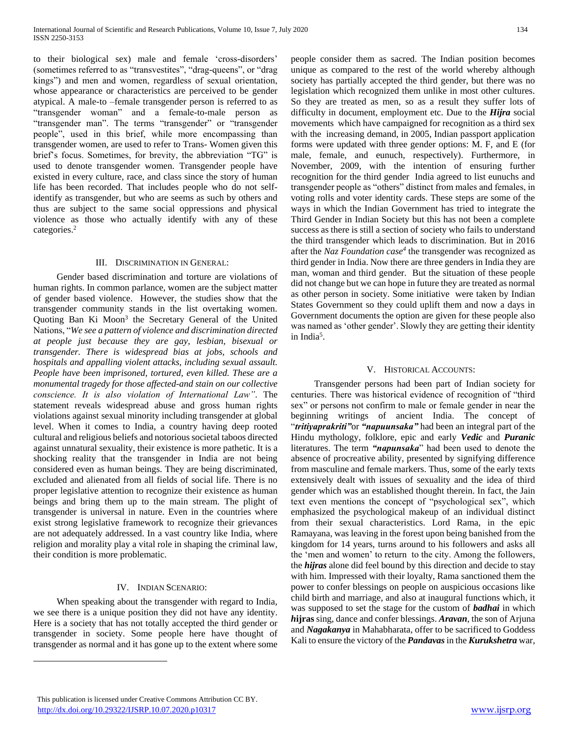to their biological sex) male and female 'cross-disorders' (sometimes referred to as "transvestites", "drag-queens", or "drag kings") and men and women, regardless of sexual orientation, whose appearance or characteristics are perceived to be gender atypical. A male-to –female transgender person is referred to as "transgender woman" and a female-to-male person as "transgender man". The terms "transgender" or "transgender people", used in this brief, while more encompassing than transgender women, are used to refer to Trans- Women given this brief's focus. Sometimes, for brevity, the abbreviation "TG" is used to denote transgender women. Transgender people have existed in every culture, race, and class since the story of human life has been recorded. That includes people who do not selfidentify as transgender, but who are seems as such by others and thus are subject to the same social oppressions and physical violence as those who actually identify with any of these categories.<sup>2</sup>

#### III. DISCRIMINATION IN GENERAL:

 Gender based discrimination and torture are violations of human rights. In common parlance, women are the subject matter of gender based violence. However, the studies show that the transgender community stands in the list overtaking women. Quoting Ban Ki Moon<sup>3</sup> the Secretary General of the United Nations, "*We see a pattern of violence and discrimination directed at people just because they are gay, lesbian, bisexual or transgender. There is widespread bias at jobs, schools and hospitals and appalling violent attacks, including sexual assault. People have been imprisoned, tortured, even killed. These are a monumental tragedy for those affected-and stain on our collective conscience. It is also violation of International Law"*. The statement reveals widespread abuse and gross human rights violations against sexual minority including transgender at global level. When it comes to India, a country having deep rooted cultural and religious beliefs and notorious societal taboos directed against unnatural sexuality, their existence is more pathetic. It is a shocking reality that the transgender in India are not being considered even as human beings. They are being discriminated, excluded and alienated from all fields of social life. There is no proper legislative attention to recognize their existence as human beings and bring them up to the main stream. The plight of transgender is universal in nature. Even in the countries where exist strong legislative framework to recognize their grievances are not adequately addressed. In a vast country like India, where religion and morality play a vital role in shaping the criminal law, their condition is more problematic.

## IV. INDIAN SCENARIO:

 When speaking about the transgender with regard to India, we see there is a unique position they did not have any identity. Here is a society that has not totally accepted the third gender or transgender in society. Some people here have thought of transgender as normal and it has gone up to the extent where some

people consider them as sacred. The Indian position becomes unique as compared to the rest of the world whereby although society has partially accepted the third gender, but there was no legislation which recognized them unlike in most other cultures. So they are treated as men, so as a result they suffer lots of difficulty in document, employment etc. Due to the *Hijra* social movements which have campaigned for recognition as a third sex with the increasing demand, in 2005, Indian passport application forms were updated with three gender options: M. F, and E (for male, female, and eunuch, respectively). Furthermore, in November, 2009, with the intention of ensuring further recognition for the third gender India agreed to list eunuchs and transgender people as "others" distinct from males and females, in voting rolls and voter identity cards. These steps are some of the ways in which the Indian Government has tried to integrate the Third Gender in Indian Society but this has not been a complete success as there is still a section of society who fails to understand the third transgender which leads to discrimination. But in 2016 after the *Naz Foundation case<sup>4</sup>* the transgender was recognized as third gender in India. Now there are three genders in India they are man, woman and third gender. But the situation of these people did not change but we can hope in future they are treated as normal as other person in society. Some initiative were taken by Indian States Government so they could uplift them and now a days in Government documents the option are given for these people also was named as 'other gender'. Slowly they are getting their identity in India<sup>5</sup>.

#### V. HISTORICAL ACCOUNTS:

 Transgender persons had been part of Indian society for centuries. There was historical evidence of recognition of "third sex" or persons not confirm to male or female gender in near the beginning writings of ancient India. The concept of "*tritiyaprakriti"*or *"napuunsaka"* had been an integral part of the Hindu mythology, folklore, epic and early *Vedic* and *Puranic*  literatures. The term *"napunsaka*" had been used to denote the absence of procreative ability, presented by signifying difference from masculine and female markers. Thus, some of the early texts extensively dealt with issues of sexuality and the idea of third gender which was an established thought therein. In fact, the Jain text even mentions the concept of "psychological sex", which emphasized the psychological makeup of an individual distinct from their sexual characteristics. Lord Rama, in the epic Ramayana, was leaving in the forest upon being banished from the kingdom for 14 years, turns around to his followers and asks all the 'men and women' to return to the city. Among the followers, the *hijras* alone did feel bound by this direction and decide to stay with him. Impressed with their loyalty, Rama sanctioned them the power to confer blessings on people on auspicious occasions like child birth and marriage, and also at inaugural functions which, it was supposed to set the stage for the custom of *badhai* in which *h***ijras** sing, dance and confer blessings. *Aravan*, the son of Arjuna and *Nagakanya* in Mahabharata, offer to be sacrificed to Goddess Kali to ensure the victory of the *Pandavas* in the *Kurukshetra* war,

This publication is licensed under Creative Commons Attribution CC BY. <http://dx.doi.org/10.29322/IJSRP.10.07.2020.p10317> [www.ijsrp.org](http://ijsrp.org/)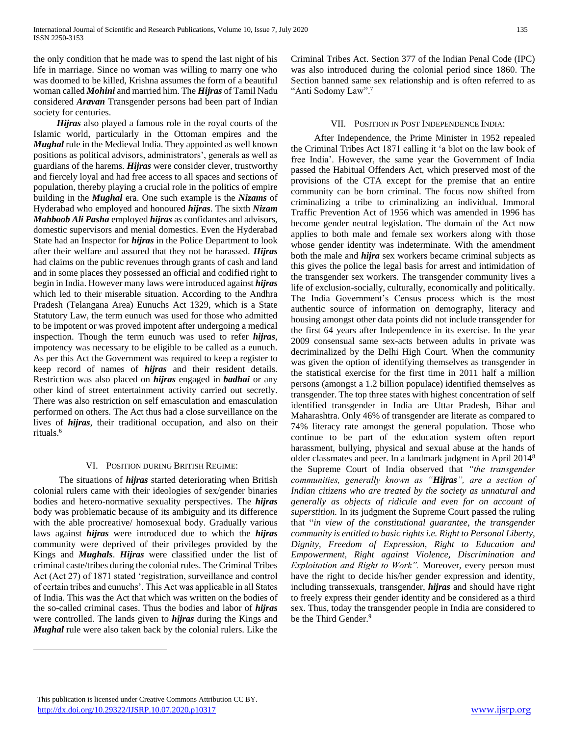the only condition that he made was to spend the last night of his life in marriage. Since no woman was willing to marry one who was doomed to be killed, Krishna assumes the form of a beautiful woman called *Mohini* and married him. The *Hijras* of Tamil Nadu considered *Aravan* Transgender persons had been part of Indian society for centuries.

 *Hijras* also played a famous role in the royal courts of the Islamic world, particularly in the Ottoman empires and the *Mughal* rule in the Medieval India. They appointed as well known positions as political advisors, administrators', generals as well as guardians of the harems. *Hijras* were consider clever, trustworthy and fiercely loyal and had free access to all spaces and sections of population, thereby playing a crucial role in the politics of empire building in the *Mughal* era. One such example is the *Nizams* of Hyderabad who employed and honoured *hijras*. The sixth *Nizam Mahboob Ali Pasha* employed *hijras* as confidantes and advisors, domestic supervisors and menial domestics. Even the Hyderabad State had an Inspector for *hijras* in the Police Department to look after their welfare and assured that they not be harassed. *Hijras* had claims on the public revenues through grants of cash and land and in some places they possessed an official and codified right to begin in India. However many laws were introduced against *hijras* which led to their miserable situation. According to the Andhra Pradesh (Telangana Area) Eunuchs Act 1329, which is a State Statutory Law, the term eunuch was used for those who admitted to be impotent or was proved impotent after undergoing a medical inspection. Though the term eunuch was used to refer *hijras*, impotency was necessary to be eligible to be called as a eunuch. As per this Act the Government was required to keep a register to keep record of names of *hijras* and their resident details. Restriction was also placed on *hijras* engaged in *badhai* or any other kind of street entertainment activity carried out secretly. There was also restriction on self emasculation and emasculation performed on others. The Act thus had a close surveillance on the lives of *hijras*, their traditional occupation, and also on their rituals.<sup>6</sup>

### VI. POSITION DURING BRITISH REGIME:

 The situations of *hijras* started deteriorating when British colonial rulers came with their ideologies of sex/gender binaries bodies and hetero-normative sexuality perspectives. The *hijras* body was problematic because of its ambiguity and its difference with the able procreative/ homosexual body. Gradually various laws against *hijras* were introduced due to which the *hijras* community were deprived of their privileges provided by the Kings and *Mughals*. *Hijras* were classified under the list of criminal caste/tribes during the colonial rules. The Criminal Tribes Act (Act 27) of 1871 stated 'registration, surveillance and control of certain tribes and eunuchs'. This Act was applicable in all States of India. This was the Act that which was written on the bodies of the so-called criminal cases. Thus the bodies and labor of *hijras* were controlled. The lands given to *hijras* during the Kings and *Mughal* rule were also taken back by the colonial rulers. Like the

Criminal Tribes Act. Section 377 of the Indian Penal Code (IPC) was also introduced during the colonial period since 1860. The Section banned same sex relationship and is often referred to as "Anti Sodomy Law".<sup>7</sup>

## VII. POSITION IN POST INDEPENDENCE INDIA:

 After Independence, the Prime Minister in 1952 repealed the Criminal Tribes Act 1871 calling it 'a blot on the law book of free India'. However, the same year the Government of India passed the Habitual Offenders Act, which preserved most of the provisions of the CTA except for the premise that an entire community can be born criminal. The focus now shifted from criminalizing a tribe to criminalizing an individual. Immoral Traffic Prevention Act of 1956 which was amended in 1996 has become gender neutral legislation. The domain of the Act now applies to both male and female sex workers along with those whose gender identity was indeterminate. With the amendment both the male and *hijra* sex workers became criminal subjects as this gives the police the legal basis for arrest and intimidation of the transgender sex workers. The transgender community lives a life of exclusion-socially, culturally, economically and politically. The India Government's Census process which is the most authentic source of information on demography, literacy and housing amongst other data points did not include transgender for the first 64 years after Independence in its exercise. In the year 2009 consensual same sex-acts between adults in private was decriminalized by the Delhi High Court. When the community was given the option of identifying themselves as transgender in the statistical exercise for the first time in 2011 half a million persons (amongst a 1.2 billion populace) identified themselves as transgender. The top three states with highest concentration of self identified transgender in India are Uttar Pradesh, Bihar and Maharashtra. Only 46% of transgender are literate as compared to 74% literacy rate amongst the general population. Those who continue to be part of the education system often report harassment, bullying, physical and sexual abuse at the hands of older classmates and peer. In a landmark judgment in April 2014<sup>8</sup> the Supreme Court of India observed that *"the transgender communities, generally known as "Hijras", are a section of Indian citizens who are treated by the society as unnatural and generally as objects of ridicule and even for on account of superstition.* In its judgment the Supreme Court passed the ruling that "*in view of the constitutional guarantee, the transgender community is entitled to basic rights i.e. Right to Personal Liberty, Dignity, Freedom of Expression, Right to Education and Empowerment, Right against Violence, Discrimination and Exploitation and Right to Work".* Moreover, every person must have the right to decide his/her gender expression and identity, including transsexuals, transgender, *hijras* and should have right to freely express their gender identity and be considered as a third sex. Thus, today the transgender people in India are considered to be the Third Gender.<sup>9</sup>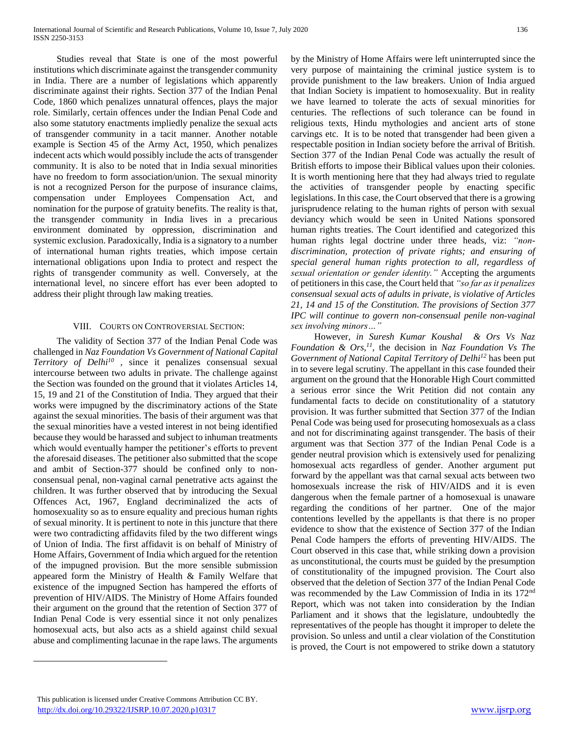Studies reveal that State is one of the most powerful institutions which discriminate against the transgender community in India. There are a number of legislations which apparently discriminate against their rights. Section 377 of the Indian Penal Code, 1860 which penalizes unnatural offences, plays the major role. Similarly, certain offences under the Indian Penal Code and also some statutory enactments impliedly penalize the sexual acts of transgender community in a tacit manner. Another notable example is Section 45 of the Army Act, 1950, which penalizes indecent acts which would possibly include the acts of transgender community. It is also to be noted that in India sexual minorities have no freedom to form association/union. The sexual minority is not a recognized Person for the purpose of insurance claims, compensation under Employees Compensation Act, and nomination for the purpose of gratuity benefits. The reality is that, the transgender community in India lives in a precarious environment dominated by oppression, discrimination and systemic exclusion. Paradoxically, India is a signatory to a number of international human rights treaties, which impose certain international obligations upon India to protect and respect the rights of transgender community as well. Conversely, at the international level, no sincere effort has ever been adopted to address their plight through law making treaties.

### VIII. COURTS ON CONTROVERSIAL SECTION:

 The validity of Section 377 of the Indian Penal Code was challenged in *Naz Foundation Vs Government of National Capital Territory of Delhi<sup>10</sup> ,* since it penalizes consensual sexual intercourse between two adults in private. The challenge against the Section was founded on the ground that it violates Articles 14, 15, 19 and 21 of the Constitution of India. They argued that their works were impugned by the discriminatory actions of the State against the sexual minorities. The basis of their argument was that the sexual minorities have a vested interest in not being identified because they would be harassed and subject to inhuman treatments which would eventually hamper the petitioner's efforts to prevent the aforesaid diseases. The petitioner also submitted that the scope and ambit of Section-377 should be confined only to nonconsensual penal, non-vaginal carnal penetrative acts against the children. It was further observed that by introducing the Sexual Offences Act, 1967, England decriminalized the acts of homosexuality so as to ensure equality and precious human rights of sexual minority. It is pertinent to note in this juncture that there were two contradicting affidavits filed by the two different wings of Union of India. The first affidavit is on behalf of Ministry of Home Affairs, Government of India which argued for the retention of the impugned provision. But the more sensible submission appeared form the Ministry of Health & Family Welfare that existence of the impugned Section has hampered the efforts of prevention of HIV/AIDS. The Ministry of Home Affairs founded their argument on the ground that the retention of Section 377 of Indian Penal Code is very essential since it not only penalizes homosexual acts, but also acts as a shield against child sexual abuse and complimenting lacunae in the rape laws. The arguments

by the Ministry of Home Affairs were left uninterrupted since the very purpose of maintaining the criminal justice system is to provide punishment to the law breakers. Union of India argued that Indian Society is impatient to homosexuality. But in reality we have learned to tolerate the acts of sexual minorities for centuries. The reflections of such tolerance can be found in religious texts, Hindu mythologies and ancient arts of stone carvings etc. It is to be noted that transgender had been given a respectable position in Indian society before the arrival of British. Section 377 of the Indian Penal Code was actually the result of British efforts to impose their Biblical values upon their colonies. It is worth mentioning here that they had always tried to regulate the activities of transgender people by enacting specific legislations. In this case, the Court observed that there is a growing jurisprudence relating to the human rights of person with sexual deviancy which would be seen in United Nations sponsored human rights treaties. The Court identified and categorized this human rights legal doctrine under three heads, viz: *"nondiscrimination, protection of private rights; and ensuring of special general human rights protection to all, regardless of sexual orientation or gender identity."* Accepting the arguments of petitioners in this case, the Court held that *"so far as it penalizes consensual sexual acts of adults in private, is violative of Articles 21, 14 and 15 of the Constitution. The provisions of Section 377 IPC will continue to govern non-consensual penile non-vaginal sex involving minors…"*

 However, *in Suresh Kumar Koushal & Ors Vs Naz Foundation & Ors,<sup>11</sup> ,* the decision in *Naz Foundation Vs The Government of National Capital Territory of Delhi<sup>12</sup>* has been put in to severe legal scrutiny. The appellant in this case founded their argument on the ground that the Honorable High Court committed a serious error since the Writ Petition did not contain any fundamental facts to decide on constitutionality of a statutory provision. It was further submitted that Section 377 of the Indian Penal Code was being used for prosecuting homosexuals as a class and not for discriminating against transgender. The basis of their argument was that Section 377 of the Indian Penal Code is a gender neutral provision which is extensively used for penalizing homosexual acts regardless of gender. Another argument put forward by the appellant was that carnal sexual acts between two homosexuals increase the risk of HIV/AIDS and it is even dangerous when the female partner of a homosexual is unaware regarding the conditions of her partner. One of the major contentions levelled by the appellants is that there is no proper evidence to show that the existence of Section 377 of the Indian Penal Code hampers the efforts of preventing HIV/AIDS. The Court observed in this case that, while striking down a provision as unconstitutional, the courts must be guided by the presumption of constitutionality of the impugned provision. The Court also observed that the deletion of Section 377 of the Indian Penal Code was recommended by the Law Commission of India in its 172nd Report, which was not taken into consideration by the Indian Parliament and it shows that the legislature, undoubtedly the representatives of the people has thought it improper to delete the provision. So unless and until a clear violation of the Constitution is proved, the Court is not empowered to strike down a statutory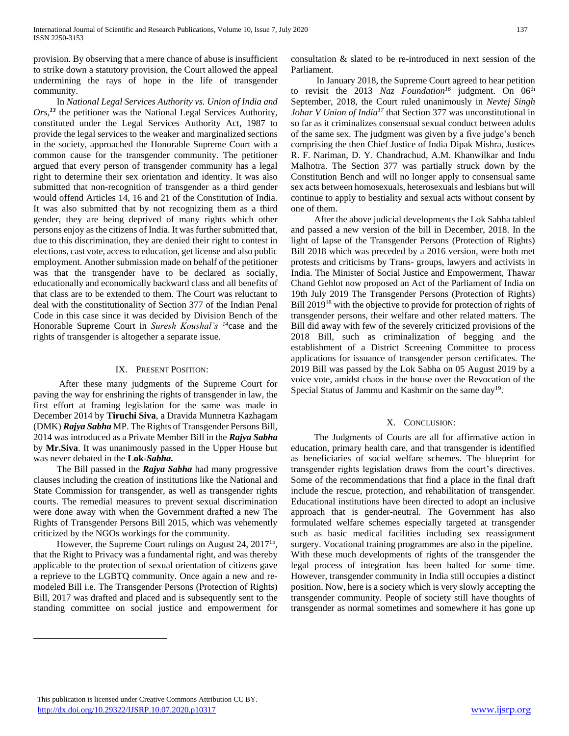provision. By observing that a mere chance of abuse is insufficient to strike down a statutory provision, the Court allowed the appeal undermining the rays of hope in the life of transgender community.

 In *National Legal Services Authority vs. Union of India and Ors,<sup>13</sup>* the petitioner was the National Legal Services Authority, constituted under the Legal Services Authority Act, 1987 to provide the legal services to the weaker and marginalized sections in the society, approached the Honorable Supreme Court with a common cause for the transgender community. The petitioner argued that every person of transgender community has a legal right to determine their sex orientation and identity. It was also submitted that non-recognition of transgender as a third gender would offend Articles 14, 16 and 21 of the Constitution of India. It was also submitted that by not recognizing them as a third gender, they are being deprived of many rights which other persons enjoy as the citizens of India. It was further submitted that, due to this discrimination, they are denied their right to contest in elections, cast vote, access to education, get license and also public employment. Another submission made on behalf of the petitioner was that the transgender have to be declared as socially, educationally and economically backward class and all benefits of that class are to be extended to them. The Court was reluctant to deal with the constitutionality of Section 377 of the Indian Penal Code in this case since it was decided by Division Bench of the Honorable Supreme Court in *Suresh Koushal's <sup>14</sup>*case and the rights of transgender is altogether a separate issue.

## IX. PRESENT POSITION:

 After these many judgments of the Supreme Court for paving the way for enshrining the rights of transgender in law, the first effort at framing legislation for the same was made in December 2014 by **Tiruchi Siva**, a Dravida Munnetra Kazhagam (DMK) *Rajya Sabha* MP. The Rights of Transgender Persons Bill, 2014 was introduced as a Private Member Bill in the *Rajya Sabha*  by **Mr.Siva**. It was unanimously passed in the Upper House but was never debated in the **Lok**-*Sabha.*

 The Bill passed in the *Rajya Sabha* had many progressive clauses including the creation of institutions like the National and State Commission for transgender, as well as transgender rights courts. The remedial measures to prevent sexual discrimination were done away with when the Government drafted a new The Rights of Transgender Persons Bill 2015, which was vehemently criticized by the NGOs workings for the community.

 However, the Supreme Court rulings on August 24, 2017<sup>15</sup> , that the Right to Privacy was a fundamental right, and was thereby applicable to the protection of sexual orientation of citizens gave a reprieve to the LGBTQ community. Once again a new and remodeled Bill i.e. The Transgender Persons (Protection of Rights) Bill, 2017 was drafted and placed and is subsequently sent to the standing committee on social justice and empowerment for

 $\overline{a}$ 

consultation & slated to be re-introduced in next session of the Parliament.

 In January 2018, the Supreme Court agreed to hear petition to revisit the 2013 *Naz Foundation<sup>16</sup>* judgment. On 06<sup>th</sup> September, 2018, the Court ruled unanimously in *Nevtej Singh Johar V Union of India<sup>17</sup>* that Section 377 was unconstitutional in so far as it criminalizes consensual sexual conduct between adults of the same sex. The judgment was given by a five judge's bench comprising the then Chief Justice of India Dipak Mishra, Justices R. F. Nariman, D. Y. Chandrachud, A.M. Khanwilkar and Indu Malhotra. The Section 377 was partially struck down by the Constitution Bench and will no longer apply to consensual same sex acts between homosexuals, heterosexuals and lesbians but will continue to apply to bestiality and sexual acts without consent by one of them.

 After the above judicial developments the Lok Sabha tabled and passed a new version of the bill in December, 2018. In the light of lapse of the Transgender Persons (Protection of Rights) Bill 2018 which was preceded by a 2016 version, were both met protests and criticisms by Trans- groups, lawyers and activists in India. The Minister of Social Justice and Empowerment, Thawar Chand Gehlot now proposed an Act of the Parliament of India on 19th July 2019 The Transgender Persons (Protection of Rights) Bill 2019<sup>18</sup> with the objective to provide for protection of rights of transgender persons, their welfare and other related matters. The Bill did away with few of the severely criticized provisions of the 2018 Bill, such as criminalization of begging and the establishment of a District Screening Committee to process applications for issuance of transgender person certificates. The 2019 Bill was passed by the Lok Sabha on 05 August 2019 by a voice vote, amidst chaos in the house over the Revocation of the Special Status of Jammu and Kashmir on the same day<sup>19</sup>.

## X. CONCLUSION:

 The Judgments of Courts are all for affirmative action in education, primary health care, and that transgender is identified as beneficiaries of social welfare schemes. The blueprint for transgender rights legislation draws from the court's directives. Some of the recommendations that find a place in the final draft include the rescue, protection, and rehabilitation of transgender. Educational institutions have been directed to adopt an inclusive approach that is gender-neutral. The Government has also formulated welfare schemes especially targeted at transgender such as basic medical facilities including sex reassignment surgery. Vocational training programmes are also in the pipeline. With these much developments of rights of the transgender the legal process of integration has been halted for some time. However, transgender community in India still occupies a distinct position. Now, here is a society which is very slowly accepting the transgender community. People of society still have thoughts of transgender as normal sometimes and somewhere it has gone up